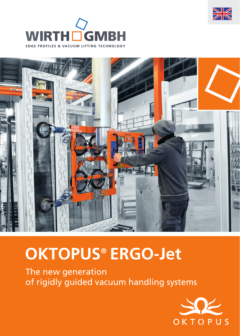





# **OKTOPUS® ERGO-Jet**

The new generation of rigidly guided vacuum handling systems

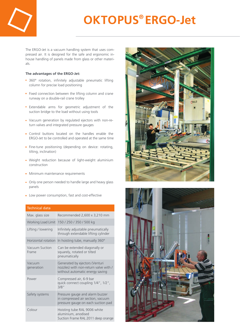

## **OKTOPUS® ERGO-Jet**

The ERGO-Jet is a vacuum handling system that uses compressed air. It is designed for the safe and ergonomic inhouse handling of panels made from glass or other materials.

#### **The advantages of the ERGO-Jet:**

- 360° rotation, infinitely adjustable pneumatic lifting column for precise load positioning
- Fixed connection between the lifting column and crane runway on a double-rail crane trolley
- **Extendable arms for geometric adjustment of the** suction bridge to the load without using tools
- Vacuum generation by regulated ejectors with non-return valves and integrated pressure gauges
- **Control buttons located on the handles enable the** ERGO-Jet to be controlled and operated at the same time
- **Fine-tune positioning (depending on device: rotating,** tilting, inclination)
- Weight reduction because of light-weight aluminium construction
- Minimum maintenance requirements
- Only one person needed to handle large and heavy glass panels
- **Low power consumption, fast and cost-effective**

#### Technical data

| וככווווונפו טפנפ        |                                                                                                            |
|-------------------------|------------------------------------------------------------------------------------------------------------|
| Max. glass size         | Recommended 2,600 x 3,210 mm                                                                               |
| Working Load Limit      | 150 / 250 / 350 / 500 kg                                                                                   |
| Lifting / lowering      | Infinitely adjustable pneumatically<br>through extendable lifting cylinder                                 |
| Horizontal rotation     | In hoisting tube, manually 360°                                                                            |
| Vacuum Suction<br>Frame | Can be extended diagonally or<br>squarely, rotated or tilted<br>pneumatically                              |
| Vacuum<br>generation    | Generated by ejectors (Venturi<br>nozzles) with non-return valve with /<br>without automatic energy saving |
| Power                   | Compressed air, 6-9 bar<br>quick connect coupling 1/4", 1/2",<br>3/8''                                     |
| Safety systems          | Pressure gauge and alarm buzzer<br>in compressed air section, vacuum<br>pressure gauge on each suction pad |
| Colour                  | Hoisting tube RAL 9006 white<br>aluminium, anodised<br>Suction Frame RAL 2011 deep orange                  |



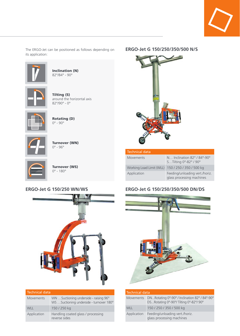

The ERGO-Jet can be positioned as follows depending on its application:



Inclination (N) 82°/84° - 90°



Tilting (S) around the horizontal axis 82°/90° - 0°



Rotating (D) 0° - 90°



Turnover (WN) 0° - 96°



Turnover (WS) 0° - 180°



| <b>Technical data</b> |                                                                                  |  |
|-----------------------|----------------------------------------------------------------------------------|--|
| <b>Movements</b>      | WN Suctioning underside - raising 96°<br>WS Suctioning underside - turnover 180° |  |
| <b>WLL</b>            | 150 / 250 kg                                                                     |  |
| Application           | Handling coated glass / processing<br>reverse sides                              |  |

#### **ERGO-Jet G 150/250/350/500 N/S**



|  |  | <b>Technical data</b> |  |
|--|--|-----------------------|--|
|  |  |                       |  |

| Movements                                         | N Inclination 82° / 84°-90°<br>STilting 0°-82° / 90°        |
|---------------------------------------------------|-------------------------------------------------------------|
| Working Load Limit (WLL) 150 / 250 / 350 / 500 kg |                                                             |
| Application                                       | Feeding/unloading vert./horiz.<br>glass processing machines |



| <b>Technical data</b> |                                                                                                 |  |
|-----------------------|-------------------------------------------------------------------------------------------------|--|
|                       | Movements DNRotating 0°-90° / Inclination 82° / 84°-90°<br>DSRotating 0°-90°/Tilting 0°-82°/90° |  |
| <b>WLL</b>            | 150 / 250 / 350 / 500 kg                                                                        |  |
| Application           | Feeding/unloading vert./horiz.<br>glass processing machines                                     |  |

#### **ERGO-Jet G 150/250 WN/WS ERGO-Jet G 150/250/350/500 DN/DS**